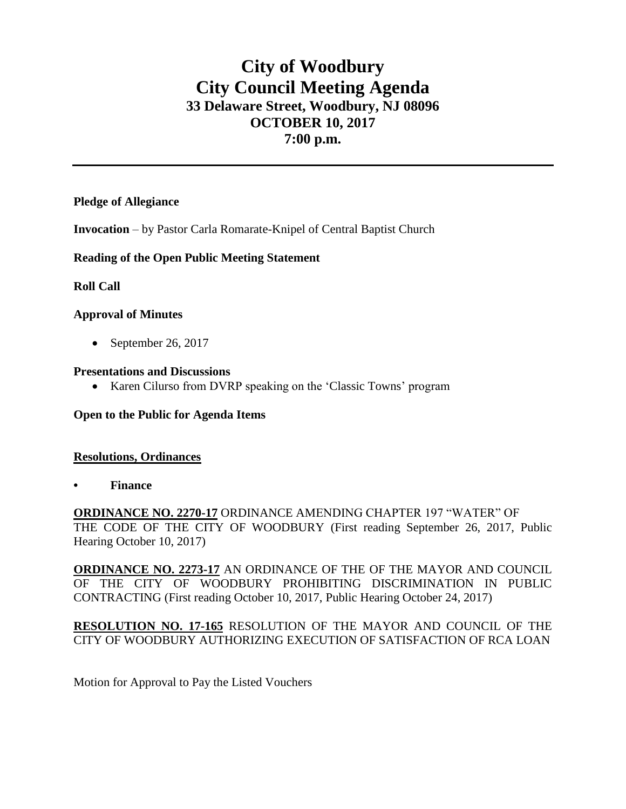# **City of Woodbury City Council Meeting Agenda 33 Delaware Street, Woodbury, NJ 08096 OCTOBER 10, 2017 7:00 p.m.**

## **Pledge of Allegiance**

**Invocation** – by Pastor Carla Romarate-Knipel of Central Baptist Church

## **Reading of the Open Public Meeting Statement**

## **Roll Call**

## **Approval of Minutes**

 $\bullet$  September 26, 2017

#### **Presentations and Discussions**

• Karen Cilurso from DVRP speaking on the 'Classic Towns' program

#### **Open to the Public for Agenda Items**

#### **Resolutions, Ordinances**

**• Finance** 

**ORDINANCE NO. 2270-17** ORDINANCE AMENDING CHAPTER 197 "WATER" OF THE CODE OF THE CITY OF WOODBURY (First reading September 26, 2017, Public Hearing October 10, 2017)

**ORDINANCE NO. 2273-17** AN ORDINANCE OF THE OF THE MAYOR AND COUNCIL OF THE CITY OF WOODBURY PROHIBITING DISCRIMINATION IN PUBLIC CONTRACTING (First reading October 10, 2017, Public Hearing October 24, 2017)

**RESOLUTION NO. 17-165** RESOLUTION OF THE MAYOR AND COUNCIL OF THE CITY OF WOODBURY AUTHORIZING EXECUTION OF SATISFACTION OF RCA LOAN

Motion for Approval to Pay the Listed Vouchers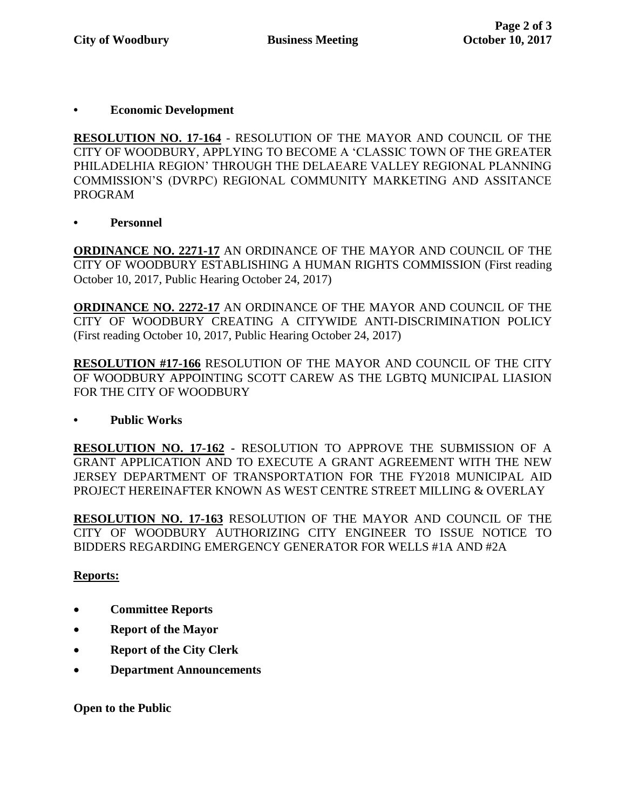## **• Economic Development**

**RESOLUTION NO. 17-164** - RESOLUTION OF THE MAYOR AND COUNCIL OF THE CITY OF WOODBURY, APPLYING TO BECOME A 'CLASSIC TOWN OF THE GREATER PHILADELHIA REGION' THROUGH THE DELAEARE VALLEY REGIONAL PLANNING COMMISSION'S (DVRPC) REGIONAL COMMUNITY MARKETING AND ASSITANCE PROGRAM

**• Personnel** 

**ORDINANCE NO. 2271-17** AN ORDINANCE OF THE MAYOR AND COUNCIL OF THE CITY OF WOODBURY ESTABLISHING A HUMAN RIGHTS COMMISSION (First reading October 10, 2017, Public Hearing October 24, 2017)

**ORDINANCE NO. 2272-17** AN ORDINANCE OF THE MAYOR AND COUNCIL OF THE CITY OF WOODBURY CREATING A CITYWIDE ANTI-DISCRIMINATION POLICY (First reading October 10, 2017, Public Hearing October 24, 2017)

**RESOLUTION #17-166** RESOLUTION OF THE MAYOR AND COUNCIL OF THE CITY OF WOODBURY APPOINTING SCOTT CAREW AS THE LGBTQ MUNICIPAL LIASION FOR THE CITY OF WOODBURY

## **• Public Works**

**RESOLUTION NO. 17-162 -** RESOLUTION TO APPROVE THE SUBMISSION OF A GRANT APPLICATION AND TO EXECUTE A GRANT AGREEMENT WITH THE NEW JERSEY DEPARTMENT OF TRANSPORTATION FOR THE FY2018 MUNICIPAL AID PROJECT HEREINAFTER KNOWN AS WEST CENTRE STREET MILLING & OVERLAY

**RESOLUTION NO. 17-163** RESOLUTION OF THE MAYOR AND COUNCIL OF THE CITY OF WOODBURY AUTHORIZING CITY ENGINEER TO ISSUE NOTICE TO BIDDERS REGARDING EMERGENCY GENERATOR FOR WELLS #1A AND #2A

## **Reports:**

- **Committee Reports**
- **Report of the Mayor**
- **Report of the City Clerk**
- **Department Announcements**

**Open to the Public**